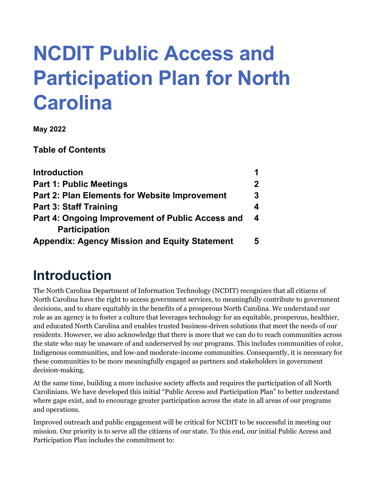# **NCDIT Public Access and Participation Plan for North Carolina**

**May 2022**

**Table of Contents**

| <b>Introduction</b>                                  | 1                |
|------------------------------------------------------|------------------|
| <b>Part 1: Public Meetings</b>                       | $\mathbf{2}$     |
| <b>Part 2: Plan Elements for Website Improvement</b> | 3<br>4           |
| <b>Part 3: Staff Training</b>                        |                  |
| Part 4: Ongoing Improvement of Public Access and     | $\boldsymbol{4}$ |
| <b>Participation</b>                                 |                  |
| <b>Appendix: Agency Mission and Equity Statement</b> | 5                |

#### **Introduction**

The North Carolina Department of Information Technology (NCDIT) recognizes that all citizens of North Carolina have the right to access government services, to meaningfully contribute to government decisions, and to share equitably in the benefits of a prosperous North Carolina. We understand our role as an agency is to foster a culture that leverages technology for an equitable, prosperous, healthier, and educated North Carolina and enables trusted business-driven solutions that meet the needs of our residents. However, we also acknowledge that there is more that we can do to reach communities across the state who may be unaware of and underserved by our programs. This includes communities of color, Indigenous communities, and low-and moderate-income communities. Consequently, it is necessary for these communities to be more meaningfully engaged as partners and stakeholders in government decision-making.

At the same time, building a more inclusive society affects and requires the participation of all North Carolinians. We have developed this initial "Public Access and Participation Plan" to better understand where gaps exist, and to encourage greater participation across the state in all areas of our programs and operations.

Improved outreach and public engagement will be critical for NCDIT to be successful in meeting our mission. Our priority is to serve all the citizens of our state. To this end, our initial Public Access and Participation Plan includes the commitment to: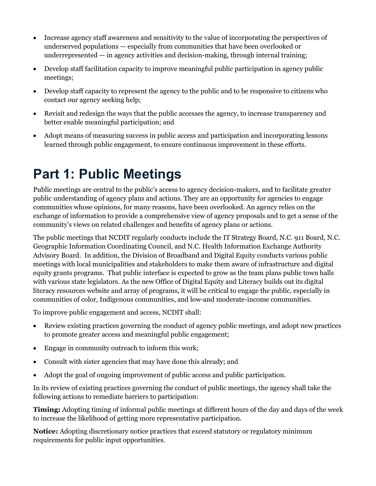- Increase agency staff awareness and sensitivity to the value of incorporating the perspectives of underserved populations — especially from communities that have been overlooked or underrepresented — in agency activities and decision-making, through internal training;
- Develop staff facilitation capacity to improve meaningful public participation in agency public meetings;
- Develop staff capacity to represent the agency to the public and to be responsive to citizens who contact our agency seeking help;
- Revisit and redesign the ways that the public accesses the agency, to increase transparency and better enable meaningful participation; and
- Adopt means of measuring success in public access and participation and incorporating lessons learned through public engagement, to ensure continuous improvement in these efforts.

#### **Part 1: Public Meetings**

Public meetings are central to the public's access to agency decision-makers, and to facilitate greater public understanding of agency plans and actions. They are an opportunity for agencies to engage communities whose opinions, for many reasons, have been overlooked. An agency relies on the exchange of information to provide a comprehensive view of agency proposals and to get a sense of the community's views on related challenges and benefits of agency plans or actions.

The public meetings that NCDIT regularly conducts include the IT Strategy Board, N.C. 911 Board, N.C. Geographic Information Coordinating Council, and N.C. Health Information Exchange Authority Advisory Board. In addition, the Division of Broadband and Digital Equity conducts various public meetings with local municipalities and stakeholders to make them aware of infrastructure and digital equity grants programs. That public interface is expected to grow as the team plans public town halls with various state legislators. As the new Office of Digital Equity and Literacy builds out its digital literacy resources website and array of programs, it will be critical to engage the public, especially in communities of color, Indigenous communities, and low-and moderate-income communities.

To improve public engagement and access, NCDIT shall:

- Review existing practices governing the conduct of agency public meetings, and adopt new practices to promote greater access and meaningful public engagement;
- Engage in community outreach to inform this work;
- Consult with sister agencies that may have done this already; and
- Adopt the goal of ongoing improvement of public access and public participation.

In its review of existing practices governing the conduct of public meetings, the agency shall take the following actions to remediate barriers to participation:

**Timing:** Adopting timing of informal public meetings at different hours of the day and days of the week to increase the likelihood of getting more representative participation.

**Notice:** Adopting discretionary notice practices that exceed statutory or regulatory minimum requirements for public input opportunities.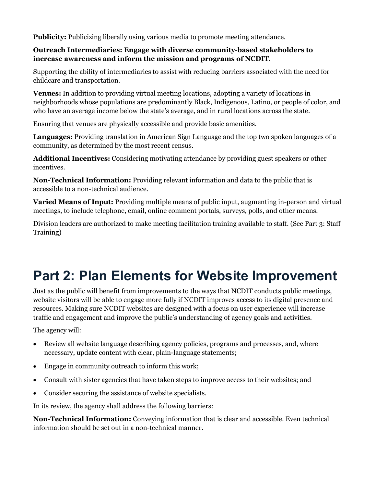**Publicity:** Publicizing liberally using various media to promote meeting attendance.

#### **Outreach Intermediaries: Engage with diverse community-based stakeholders to increase awareness and inform the mission and programs of NCDIT**.

Supporting the ability of intermediaries to assist with reducing barriers associated with the need for childcare and transportation.

**Venues:** In addition to providing virtual meeting locations, adopting a variety of locations in neighborhoods whose populations are predominantly Black, Indigenous, Latino, or people of color, and who have an average income below the state's average, and in rural locations across the state.

Ensuring that venues are physically accessible and provide basic amenities.

**Languages:** Providing translation in American Sign Language and the top two spoken languages of a community, as determined by the most recent census.

**Additional Incentives:** Considering motivating attendance by providing guest speakers or other incentives.

**Non-Technical Information:** Providing relevant information and data to the public that is accessible to a non-technical audience.

**Varied Means of Input:** Providing multiple means of public input, augmenting in-person and virtual meetings, to include telephone, email, online comment portals, surveys, polls, and other means.

Division leaders are authorized to make meeting facilitation training available to staff. (See Part 3: Staff Training)

### **Part 2: Plan Elements for Website Improvement**

Just as the public will benefit from improvements to the ways that NCDIT conducts public meetings, website visitors will be able to engage more fully if NCDIT improves access to its digital presence and resources. Making sure NCDIT websites are designed with a focus on user experience will increase traffic and engagement and improve the public's understanding of agency goals and activities.

The agency will:

- Review all website language describing agency policies, programs and processes, and, where necessary, update content with clear, plain-language statements;
- Engage in community outreach to inform this work;
- Consult with sister agencies that have taken steps to improve access to their websites; and
- Consider securing the assistance of website specialists.

In its review, the agency shall address the following barriers:

**Non-Technical Information:** Conveying information that is clear and accessible. Even technical information should be set out in a non-technical manner.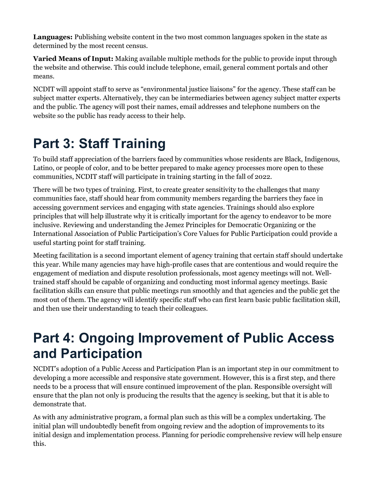**Languages:** Publishing website content in the two most common languages spoken in the state as determined by the most recent census.

**Varied Means of Input:** Making available multiple methods for the public to provide input through the website and otherwise. This could include telephone, email, general comment portals and other means.

NCDIT will appoint staff to serve as "environmental justice liaisons" for the agency. These staff can be subject matter experts. Alternatively, they can be intermediaries between agency subject matter experts and the public. The agency will post their names, email addresses and telephone numbers on the website so the public has ready access to their help.

## **Part 3: Staff Training**

To build staff appreciation of the barriers faced by communities whose residents are Black, Indigenous, Latino, or people of color, and to be better prepared to make agency processes more open to these communities, NCDIT staff will participate in training starting in the fall of 2022.

There will be two types of training. First, to create greater sensitivity to the challenges that many communities face, staff should hear from community members regarding the barriers they face in accessing government services and engaging with state agencies. Trainings should also explore principles that will help illustrate why it is critically important for the agency to endeavor to be more inclusive. Reviewing and understanding the Jemez Principles for Democratic Organizing or the International Association of Public Participation's Core Values for Public Participation could provide a useful starting point for staff training.

Meeting facilitation is a second important element of agency training that certain staff should undertake this year. While many agencies may have high-profile cases that are contentious and would require the engagement of mediation and dispute resolution professionals, most agency meetings will not. Welltrained staff should be capable of organizing and conducting most informal agency meetings. Basic facilitation skills can ensure that public meetings run smoothly and that agencies and the public get the most out of them. The agency will identify specific staff who can first learn basic public facilitation skill, and then use their understanding to teach their colleagues.

#### **Part 4: Ongoing Improvement of Public Access and Participation**

NCDIT's adoption of a Public Access and Participation Plan is an important step in our commitment to developing a more accessible and responsive state government. However, this is a first step, and there needs to be a process that will ensure continued improvement of the plan. Responsible oversight will ensure that the plan not only is producing the results that the agency is seeking, but that it is able to demonstrate that.

As with any administrative program, a formal plan such as this will be a complex undertaking. The initial plan will undoubtedly benefit from ongoing review and the adoption of improvements to its initial design and implementation process. Planning for periodic comprehensive review will help ensure this.